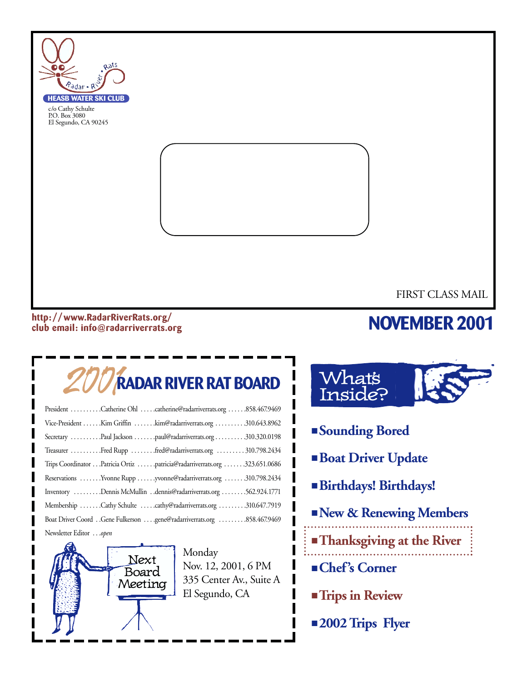

#### **http: //www.RadarRiverRats.org/ club email: info@radarriverrats.org**

# **NOVEMBER 2001**

# 2001**RADAR RIVER RAT BOARD**

| President Catherine Ohl catherine@radarriverrats.org 858.467.9469         |
|---------------------------------------------------------------------------|
| Vice-President Kim Griffin kim@radarriverrats.org 310.643.8962            |
| Secretary Paul Jackson paul@radarriverrats.org310.320.0198                |
| Treasurer Fred Rupp fred@radarriverrats.org  310.798.2434                 |
| Trips Coordinator Patricia Ortiz patricia@radarriverrats.org 323.651.0686 |
| Reservations Yvonne Rupp yvonne@radarriverrats.org 310.798.2434           |
| Inventory Dennis McMullin dennis@radarriverrats.org 562.924.1771          |
| Membership Cathy Schulte cathy@radarriverrats.org 310.647.7919            |
|                                                                           |
| Newsletter Editoropen                                                     |



Monday Nov. 12, 2001, 6 PM 335 Center Av., Suite A El Segundo, CA



- **Sounding Bored**
- **Boat Driver Update**
- **Birthdays! Birthdays!**
- **New & Renewing Members**
- **Thanksgiving at the River**
- **Chef's Corner**
- **Trips in Review**
- **2002 Trips Flyer**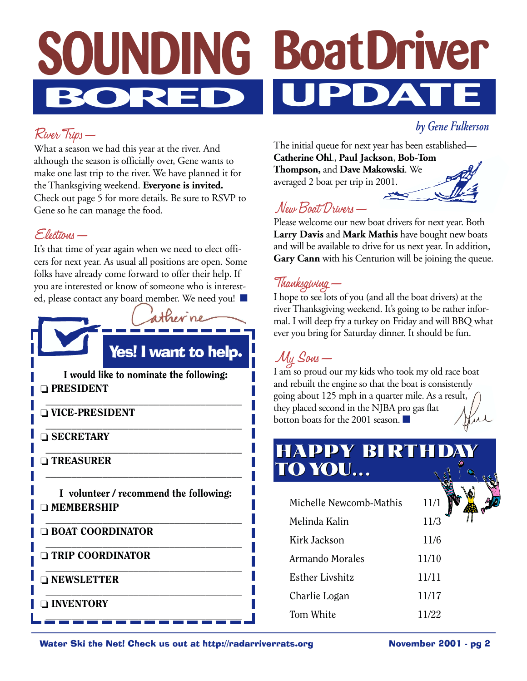# **BoatDriver UPDATE SOUNDING BORED**

### River Trips—

What a season we had this year at the river. And although the season is officially over, Gene wants to make one last trip to the river. We have planned it for the Thanksgiving weekend. **Everyone is invited.** Check out page 5 for more details. Be sure to RSVP to Gene so he can manage the food.

### Elections—

It's that time of year again when we need to elect officers for next year. As usual all positions are open. Some folks have already come forward to offer their help. If you are interested or know of someone who is interested, please contact any board member. We need you! ■



I would like to nominate the following: ❏ PRESIDENT

\_\_\_\_\_\_\_\_\_\_\_\_\_\_\_\_\_\_\_\_\_\_\_\_\_\_\_\_\_\_\_\_\_\_\_\_\_\_ ❏ VICE-PRESIDENT

\_\_\_\_\_\_\_\_\_\_\_\_\_\_\_\_\_\_\_\_\_\_\_\_\_\_\_\_\_\_\_\_\_\_\_\_\_\_ ❏ SECRETARY

❏ TREASURER

I volunteer / recommend the following: ❏ MEMBERSHIP

\_\_\_\_\_\_\_\_\_\_\_\_\_\_\_\_\_\_\_\_\_\_\_\_\_\_\_\_\_\_\_\_\_\_\_\_\_\_

\_\_\_\_\_\_\_\_\_\_\_\_\_\_\_\_\_\_\_\_\_\_\_\_\_\_\_\_\_\_\_\_\_\_\_\_\_\_

\_\_\_\_\_\_\_\_\_\_\_\_\_\_\_\_\_\_\_\_\_\_\_\_\_\_\_\_\_\_\_\_\_\_\_\_\_\_

\_\_\_\_\_\_\_\_\_\_\_\_\_\_\_\_\_\_\_\_\_\_\_\_\_\_\_\_\_\_\_\_\_\_\_\_\_\_

 $\qquad \qquad \qquad -$ 

\_\_\_\_\_\_\_\_\_\_\_\_\_\_\_\_\_\_\_\_\_\_\_\_\_\_\_\_\_\_\_\_\_\_\_\_\_\_ ❏ BOAT COORDINATOR

❏ TRIP COORDINATOR

❏ NEWSLETTER

\_\_\_\_\_\_\_\_\_\_\_\_\_\_\_\_\_\_\_\_\_\_\_\_\_\_\_\_\_\_\_\_\_\_\_\_\_\_ ❏ INVENTORY

The initial queue for next year has been established— **Catherine Ohl**., **Paul Jackson**, **Bob-Tom**

*by Gene Fulkerson*

**Thompson,** and **Dave Makowski**. We averaged 2 boat per trip in 2001.

## New Boat Drivers—

Please welcome our new boat drivers for next year. Both **Larry Davis** and **Mark Mathis** have bought new boats and will be available to drive for us next year. In addition, **Gary Cann** with his Centurion will be joining the queue.

### Thanksgiving—

I hope to see lots of you (and all the boat drivers) at the river Thanksgiving weekend. It's going to be rather informal. I will deep fry a turkey on Friday and will BBQ what ever you bring for Saturday dinner. It should be fun.

## My Sons—

I am so proud our my kids who took my old race boat and rebuilt the engine so that the boat is consistently going about 125 mph in a quarter mile. As a result, they placed second in the NJBA pro gas flat botton boats for the 2001 season. ■

## **HAPPY BIRTHDAY HAPPY BIRTHDAY TOYOU... TOYOU...**

| Michelle Newcomb-Mathis | 11/1  |
|-------------------------|-------|
| Melinda Kalin           | 11/3  |
| Kirk Jackson            | 11/6  |
| Armando Morales         | 11/10 |
| <b>Esther Livshitz</b>  | 11/11 |
| Charlie Logan           | 11/17 |
| Tom White               | 11/22 |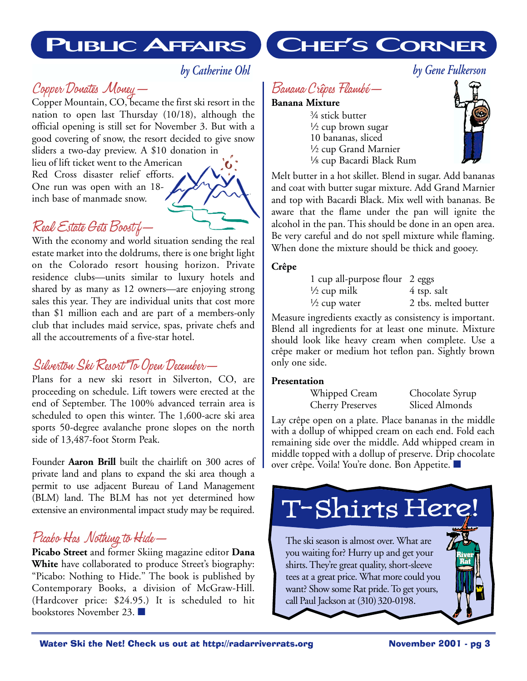## **PUBLIC AFFAIRS**

### *by Catherine Ohl*

### Copper Donates Money—

Copper Mountain, CO, became the first ski resort in the nation to open last Thursday (10/18), although the official opening is still set for November 3. But with a good covering of snow, the resort decided to give snow sliders a two-day preview. A \$10 donation in

lieu of lift ticket went to the American Red Cross disaster relief efforts. One run was open with an 18 inch base of manmade snow.

### Real Estate Gets Boost f—

With the economy and world situation sending the real estate market into the doldrums, there is one bright light on the Colorado resort housing horizon. Private residence clubs—units similar to luxury hotels and shared by as many as 12 owners—are enjoying strong sales this year. They are individual units that cost more than \$1 million each and are part of a members-only club that includes maid service, spas, private chefs and all the accoutrements of a five-star hotel.

### Silverton Ski Resort To Open December—

Plans for a new ski resort in Silverton, CO, are proceeding on schedule. Lift towers were erected at the end of September. The 100% advanced terrain area is scheduled to open this winter. The 1,600-acre ski area sports 50-degree avalanche prone slopes on the north side of 13,487-foot Storm Peak.

Founder **Aaron Brill** built the chairlift on 300 acres of private land and plans to expand the ski area though a permit to use adjacent Bureau of Land Management (BLM) land. The BLM has not yet determined how extensive an environmental impact study may be required.

### Picabo Has Nothing to Hide—

**Picabo Street** and former Skiing magazine editor **Dana White** have collaborated to produce Street's biography: "Picabo: Nothing to Hide.'' The book is published by Contemporary Books, a division of McGraw-Hill. (Hardcover price: \$24.95.) It is scheduled to hit bookstores November 23. ■

# **CHEF'S CORNER**

## Banana Crêpes Flambé—

#### **Banana Mixture**

3/4 stick butter  $\frac{1}{2}$  cup brown sugar 10 bananas, sliced 1/2 cup Grand Marnier 1/8 cup Bacardi Black Rum



Melt butter in a hot skillet. Blend in sugar. Add bananas and coat with butter sugar mixture. Add Grand Marnier and top with Bacardi Black. Mix well with bananas. Be aware that the flame under the pan will ignite the alcohol in the pan. This should be done in an open area. Be very careful and do not spell mixture while flaming. When done the mixture should be thick and gooey.

### **Crêpe**

| 1 cup all-purpose flour 2 eggs |                      |
|--------------------------------|----------------------|
| $\frac{1}{2}$ cup milk         | 4 tsp. salt          |
| $\frac{1}{2}$ cup water        | 2 tbs. melted butter |

Measure ingredients exactly as consistency is important. Blend all ingredients for at least one minute. Mixture should look like heavy cream when complete. Use a crêpe maker or medium hot teflon pan. Sightly brown only one side.

### **Presentation**

Whipped Cream Chocolate Syrup Cherry Preserves Sliced Almonds

Lay crêpe open on a plate. Place bananas in the middle with a dollup of whipped cream on each end. Fold each remaining side over the middle. Add whipped cream in middle topped with a dollup of preserve. Drip chocolate over crêpe. Voila! You're done. Bon Appetite. ■

# T-Shirts Here!

The ski season is almost over. What are you waiting for? Hurry up and get your shirts. They're great quality, short-sleeve tees at a great price. What more could you want? Show some Rat pride. To get yours, call Paul Jackson at (310) 320-0198.

**River Rat**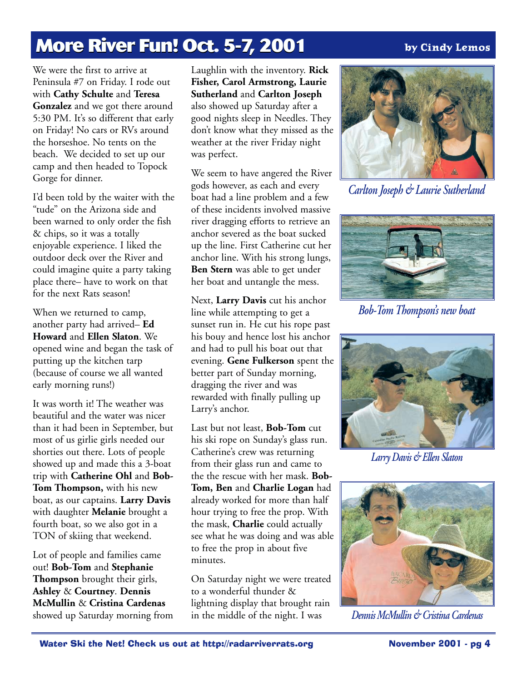# **More River Fun! Oct. 5-7, 2001 More River Fun! Oct 5-7, 2001**

### **by Cindy Lemos**

We were the first to arrive at Peninsula #7 on Friday. I rode out with **Cathy Schulte** and **Teresa Gonzalez** and we got there around 5:30 PM. It's so different that early on Friday! No cars or RVs around the horseshoe. No tents on the beach. We decided to set up our camp and then headed to Topock Gorge for dinner.

I'd been told by the waiter with the "tude" on the Arizona side and been warned to only order the fish & chips, so it was a totally enjoyable experience. I liked the outdoor deck over the River and could imagine quite a party taking place there– have to work on that for the next Rats season!

When we returned to camp, another party had arrived– **Ed Howard** and **Ellen Slaton**. We opened wine and began the task of putting up the kitchen tarp (because of course we all wanted early morning runs!)

It was worth it! The weather was beautiful and the water was nicer than it had been in September, but most of us girlie girls needed our shorties out there. Lots of people showed up and made this a 3-boat trip with **Catherine Ohl** and **Bob-Tom Thompson,** with his new boat, as our captains. **Larry Davis** with daughter **Melanie** brought a fourth boat, so we also got in a TON of skiing that weekend.

Lot of people and families came out! **Bob-Tom** and **Stephanie Thompson** brought their girls, **Ashley** & **Courtney**. **Dennis McMullin** & **Cristina Cardenas** showed up Saturday morning from Laughlin with the inventory. **Rick Fisher, Carol Armstrong, Laurie Sutherland** and **Carlton Joseph** also showed up Saturday after a good nights sleep in Needles. They don't know what they missed as the weather at the river Friday night was perfect.

We seem to have angered the River gods however, as each and every boat had a line problem and a few of these incidents involved massive river dragging efforts to retrieve an anchor severed as the boat sucked up the line. First Catherine cut her anchor line. With his strong lungs, **Ben Stern** was able to get under her boat and untangle the mess.

Next, **Larry Davis** cut his anchor line while attempting to get a sunset run in. He cut his rope past his bouy and hence lost his anchor and had to pull his boat out that evening. **Gene Fulkerson** spent the better part of Sunday morning, dragging the river and was rewarded with finally pulling up Larry's anchor.

Last but not least, **Bob-Tom** cut his ski rope on Sunday's glass run. Catherine's crew was returning from their glass run and came to the the rescue with her mask. **Bob-Tom, Ben** and **Charlie Logan** had already worked for more than half hour trying to free the prop. With the mask, **Charlie** could actually see what he was doing and was able to free the prop in about five minutes.

On Saturday night we were treated to a wonderful thunder & lightning display that brought rain in the middle of the night. I was



*Carlton Joseph & Laurie Sutherland*



*Bob-Tom Thompson's new boat*



*Larry Davis & Ellen Slaton*



*Dennis McMullin & Cristina Cardenas*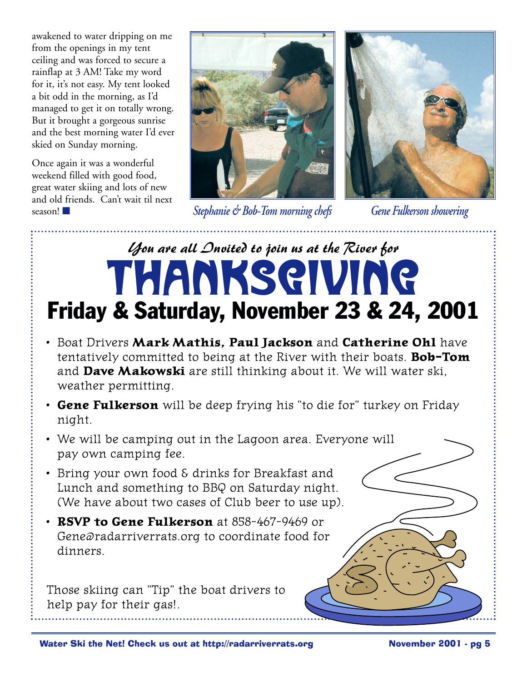awakened to water dripping on me from the openings in my tent ceiling and was forced to secure a rainflap at 3 AM! Take my word for it, it's not easy. My tent looked a bit odd in the morning, as I'd managed to get it on totally wrong. But it brought a gorgeous sunrise and the best morning water I'd ever skied on Sunday morning.

Once again it was a wonderful weekend filled with good food, great water skiing and lots of new and old friends. Can't wait til next



*Stephanie & Bob-Tom morning chefs* season! ■ *Gene Fulkerson showering*



# *You are all Invited to join us at the River for* ThanksgivingFriday & Saturday, November 23 & 24, 2001

- Boat Drivers **Mark Mathis, Paul Jackson** and **Catherine Ohl** have tentatively committed to being at the River with their boats. **Bob-Tom** and **Dave Makowski** are still thinking about it. We will water ski, weather permitting.
- **Gene Fulkerson** will be deep frying his "to die for" turkey on Friday night.
- We will be camping out in the Lagoon area. Everyone will pay own camping fee.
- Bring your own food & drinks for Breakfast and Lunch and something to BBQ on Saturday night. (We have about two cases of Club beer to use up).
- **RSVP to Gene Fulkerson** at 858-467-9469 or Gene@radarriverrats.org to coordinate food for dinners.

Those skiing can "Tip" the boat drivers to help pay for their gas!.

Water Ski the Net! Check us out at http://radarriverrats.org **November 2001** - pg 5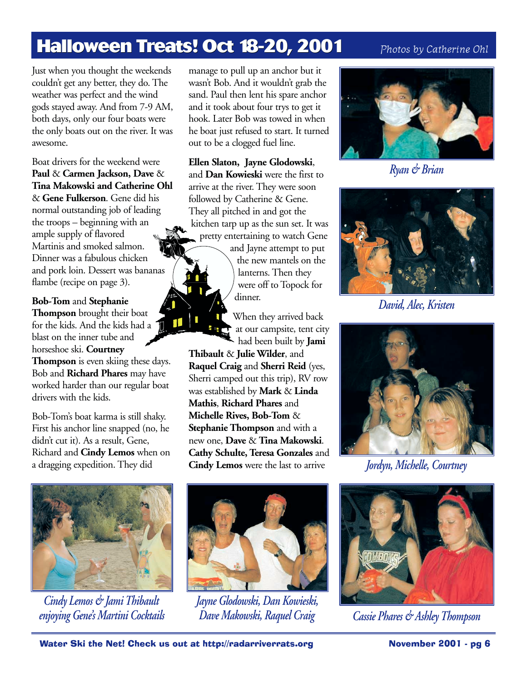# **Halloween Treats! Oct 18-20, 2001**

### *Photos by Catherine Ohl*

Just when you thought the weekends couldn't get any better, they do. The weather was perfect and the wind gods stayed away. And from 7-9 AM, both days, only our four boats were the only boats out on the river. It was awesome.

Boat drivers for the weekend were **Paul** & **Carmen Jackson, Dave** & **Tina Makowski and Catherine Ohl** & **Gene Fulkerson**. Gene did his normal outstanding job of leading the troops – beginning with an ample supply of flavored Martinis and smoked salmon. Dinner was a fabulous chicken and pork loin. Dessert was bananas flambe (recipe on page 3).

#### **Bob-Tom** and **Stephanie**

**Thompson** brought their boat for the kids. And the kids had a blast on the inner tube and horseshoe ski. **Courtney Thompson** is even skiing these days. Bob and **Richard Phares** may have worked harder than our regular boat drivers with the kids.

Bob-Tom's boat karma is still shaky. First his anchor line snapped (no, he didn't cut it). As a result, Gene, Richard and **Cindy Lemos** when on a dragging expedition. They did

manage to pull up an anchor but it wasn't Bob. And it wouldn't grab the sand. Paul then lent his spare anchor and it took about four trys to get it hook. Later Bob was towed in when he boat just refused to start. It turned out to be a clogged fuel line.

**Ellen Slaton, Jayne Glodowski**, and **Dan Kowieski** were the first to arrive at the river. They were soon followed by Catherine & Gene. They all pitched in and got the kitchen tarp up as the sun set. It was pretty entertaining to watch Gene

> and Jayne attempt to put the new mantels on the lanterns. Then they were off to Topock for dinner.

When they arrived back at our campsite, tent city had been built by **Jami**

**Thibault** & **Julie Wilder**, and **Raquel Craig** and **Sherri Reid** (yes, Sherri camped out this trip), RV row was established by **Mark** & **Linda Mathis**, **Richard Phares** and **Michelle Rives, Bob-Tom** & **Stephanie Thompson** and with a new one, **Dave** & **Tina Makowski**. **Cathy Schulte, Teresa Gonzales** and **Cindy Lemos** were the last to arrive



*Cindy Lemos & Jami Thibault enjoying Gene's Martini Cocktails*



*Jayne Glodowski, Dan Kowieski, Dave Makowski, Raquel Craig*



*Ryan & Brian*



*David, Alec, Kristen*



*Jordyn, Michelle, Courtney*



*Cassie Phares & Ashley Thompson*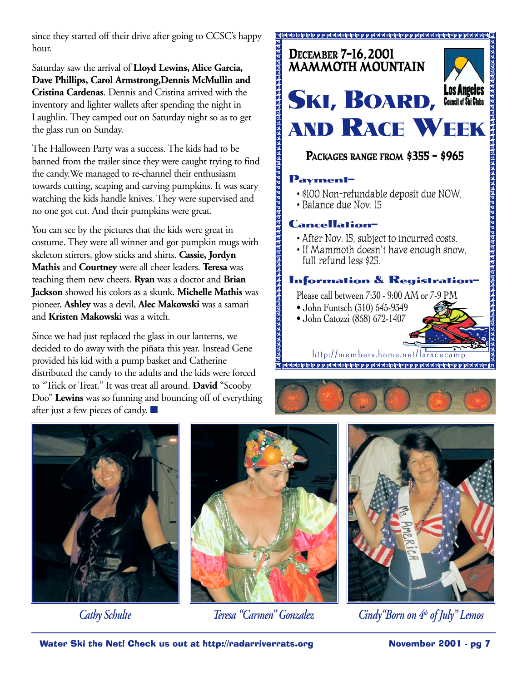since they started off their drive after going to CCSC's happy hour.

Saturday saw the arrival of **Lloyd Lewins, Alice Garcia, Dave Phillips, Carol Armstrong,Dennis McMullin and Cristina Cardenas**. Dennis and Cristina arrived with the inventory and lighter wallets after spending the night in Laughlin. They camped out on Saturday night so as to get the glass run on Sunday.

The Halloween Party was a success. The kids had to be banned from the trailer since they were caught trying to find the candy.We managed to re-channel their enthusiasm towards cutting, scaping and carving pumpkins. It was scary watching the kids handle knives. They were supervised and no one got cut. And their pumpkins were great.

You can see by the pictures that the kids were great in costume. They were all winner and got pumpkin mugs with skeleton stirrers, glow sticks and shirts. **Cassie, Jordyn Mathis** and **Courtney** were all cheer leaders. **Teresa** was teaching them new cheers. **Ryan** was a doctor and **Brian Jackson** showed his colors as a skunk. **Michelle Mathis** was pioneer, **Ashley** was a devil, **Alec Makowski** was a samari and **Kristen Makowsk**i was a witch.

Since we had just replaced the glass in our lanterns, we decided to do away with the piñata this year. Instead Gene provided his kid with a pump basket and Catherine distributed the candy to the adults and the kids were forced to "Trick or Treat." It was treat all around. **David** "Scooby Doo" **Lewins** was so funning and bouncing off of everything after just a few pieces of candy. ■



**PACKAGES RANGE FROM \$355 - \$965**

### **Payment–**

- \$100 Non-refundable deposit due NOW.
- Balance due Nov. 15

### **Cancellation–**

- After Nov. 15, subject to incurred costs.
- If Mammoth doesn't have enough snow, full refund less \$25.

### **Information & Registration–**

Please call between 7:30 - 9:00 AM or 7-9 PM

- John Funtsch (310) 545-9349
- John Catozzi (858) 672-1407

http://members.home.net/laracecamp -<br>2222222222222222222222222222222





*Cathy Schulte*





*Teresa "Carmen" Gonzalez Cindy"Born on 4th of July" Lemos*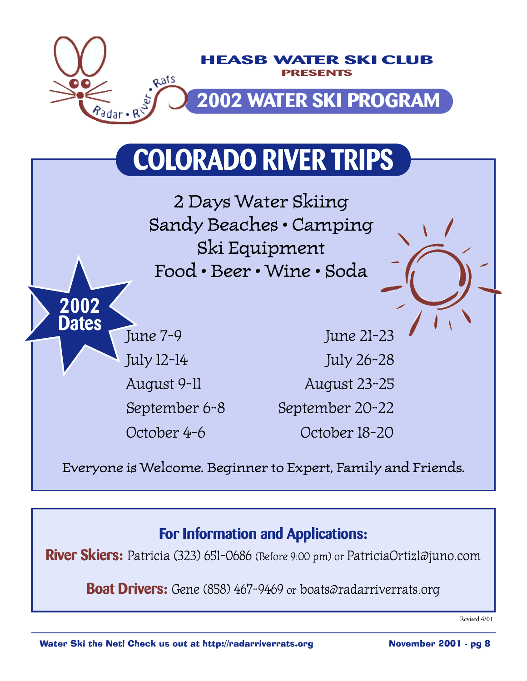

# **COLORADO RIVER TRIPS**

2 Days Water Skiing Sandy Beaches • Camping Ski Equipment Food • Beer • Wine • Soda

**2002**

**Dates**

June 7-9 June 21-23 July 12-14 July 26-28 August 9-11 August 23-25 September 6-8 September 20-22 October 4-6 October 18-20

Everyone is Welcome. Beginner to Expert, Family and Friends.

## **For Information and Applications:**

**River Skiers:** Patricia (323) 651-0686 (Before 9:00 pm) or PatriciaOrtiz1@juno.com

**Boat Drivers:** Gene (858) 467-9469 or boats@radarriverrats.org

Revised 4/01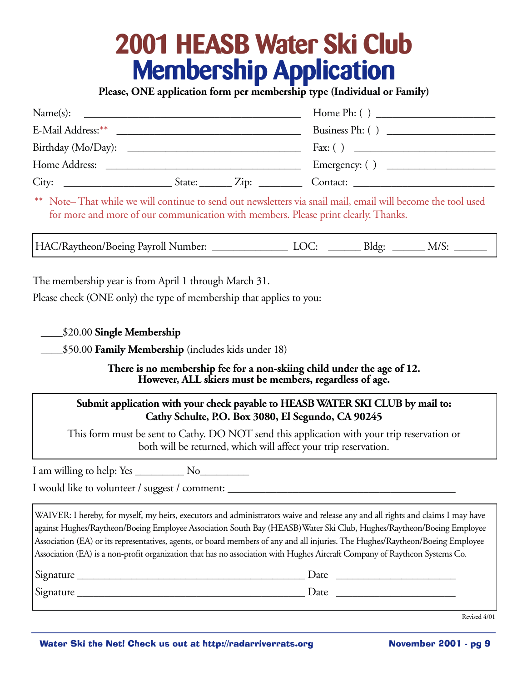# **2001 HEASB Water Ski Club Membership Application**

**Please, ONE application form per membership type (Individual or Family)**

| Name(s):<br><u> Territoria de la contenentación de la contenecidad de la contenecidad de la contenecidad de la contenecidad de la contenecidad de la contenecidad de la contenecidad de la contenecidad de la contenecidad de la contenecida</u> |                                             |                               |
|--------------------------------------------------------------------------------------------------------------------------------------------------------------------------------------------------------------------------------------------------|---------------------------------------------|-------------------------------|
|                                                                                                                                                                                                                                                  |                                             | Business Ph: ()               |
|                                                                                                                                                                                                                                                  |                                             |                               |
| Home Address:<br><u> 2001 - Jan Barbarat, manager eta idazlear (h. 1878).</u>                                                                                                                                                                    |                                             | Emergency: () $\qquad \qquad$ |
| City:                                                                                                                                                                                                                                            | $\text{State:}$ $\qquad \qquad \text{Zip:}$ | Contact:                      |

\*\* Note– That while we will continue to send out newsletters via snail mail, email will become the tool used for more and more of our communication with members. Please print clearly. Thanks.

HAC/Raytheon/Boeing Payroll Number: LOC: \_\_\_\_\_\_\_ Bldg: \_\_\_\_\_\_ M/S:

The membership year is from April 1 through March 31.

Please check (ONE only) the type of membership that applies to you:

\_\_\_\_\$20.00 **Single Membership**

\_\_\_\_\$50.00 **Family Membership** (includes kids under 18)

**There is no membership fee for a non-skiing child under the age of 12. However, ALL skiers must be members, regardless of age.**

### **Submit application with your check payable to HEASB WATER SKI CLUB by mail to: Cathy Schulte, P.O. Box 3080, El Segundo, CA 90245**

This form must be sent to Cathy. DO NOT send this application with your trip reservation or both will be returned, which will affect your trip reservation.

I am willing to help: Yes No

I would like to volunteer / suggest / comment: \_\_\_\_\_\_\_\_\_\_\_\_\_\_\_\_\_\_\_\_\_\_\_\_\_\_\_\_\_\_\_\_\_

WAIVER: I hereby, for myself, my heirs, executors and administrators waive and release any and all rights and claims I may have against Hughes/Raytheon/Boeing Employee Association South Bay (HEASB)Water Ski Club, Hughes/Raytheon/Boeing Employee Association (EA) or its representatives, agents, or board members of any and all injuries. The Hughes/Raytheon/Boeing Employee Association (EA) is a non-profit organization that has no association with Hughes Aircraft Company of Raytheon Systems Co.

| Signature | Date |
|-----------|------|
| Signature | Date |

Revised 4/01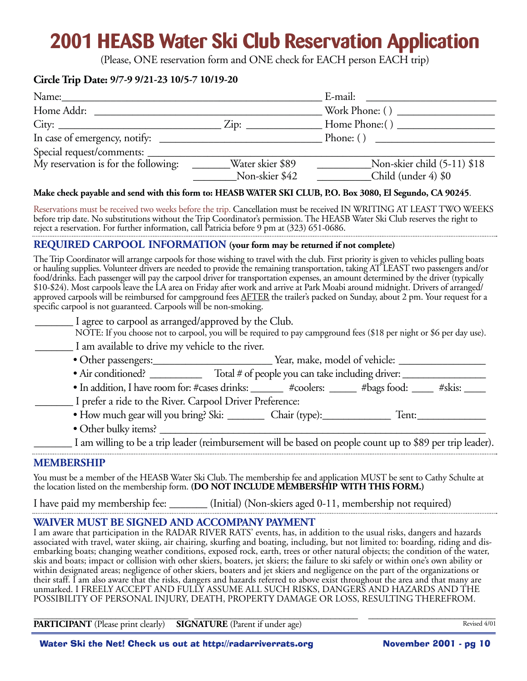# **2001 HEASB Water Ski Club Reservation Application**

(Please, ONE reservation form and ONE check for EACH person EACH trip)

#### **Circle Trip Date: 9/7-9 9/21-23 10/5-7 10/19-20**

| Name:                                |                             | E-mail:                     |
|--------------------------------------|-----------------------------|-----------------------------|
| Home Addr:                           |                             |                             |
| City:                                | $\overline{\mathrm{Zip: }}$ | Home Phone: ()              |
| In case of emergency, notify:        |                             | Phone: $()$                 |
|                                      |                             |                             |
| My reservation is for the following: | Water skier \$89            | Non-skier child (5-11) \$18 |
|                                      | Non-skier \$42              | Child (under 4) \$0         |

#### **Make check payable and send with this form to: HEASB WATER SKI CLUB, P.O. Box 3080, El Segundo, CA 90245**.

Reservations must be received two weeks before the trip. Cancellation must be received IN WRITING AT LEAST TWO WEEKS before trip date. No substitutions without the Trip Coordinator's permission. The HEASB Water Ski Club reserves the right to reject a reservation. For further information, call Patricia before 9 pm at (323) 651-0686. 

#### **REQUIRED CARPOOL INFORMATION (your form may be returned if not complete)**

The Trip Coordinator will arrange carpools for those wishing to travel with the club. First priority is given to vehicles pulling boats or hauling supplies. Volunteer drivers are needed to provide the remaining transportation, taking AT LEAST two passengers and/or food/drinks. Each passenger will pay the carpool driver for transportation expenses, an amount determined by the driver (typically \$10-\$24). Most carpools leave the LA area on Friday after work and arrive at Park Moabi around midnight. Drivers of arranged/ approved carpools will be reimbursed for campground fees AFTER the trailer's packed on Sunday, about 2 pm. Your request for a specific carpool is not guaranteed. Carpools will be non-smoking.

| I agree to carpool as arranged/approved by the Club. |                                                                                                                                                                                                                                   |
|------------------------------------------------------|-----------------------------------------------------------------------------------------------------------------------------------------------------------------------------------------------------------------------------------|
|                                                      | NOTE: If you choose not to carpool, you will be required to pay campground fees (\$18 per night or \$6 per day use).                                                                                                              |
| I am available to drive my vehicle to the river.     |                                                                                                                                                                                                                                   |
| • Other passengers:                                  | Year, make, model of vehicle:                                                                                                                                                                                                     |
| • Air conditioned?                                   | Total # of people you can take including driver:                                                                                                                                                                                  |
|                                                      | $\mathbf{a}$ , and the contract of the contract of the contract of the contract of the contract of the contract of the contract of the contract of the contract of the contract of the contract of the contract of the contract o |

• In addition, I have room for: #cases drinks: \_\_\_\_\_\_ #coolers: \_\_\_\_\_ #bags food: \_\_\_\_ #skis: \_\_\_\_

\_\_\_\_\_\_\_ I prefer a ride to the River. Carpool Driver Preference:

- How much gear will you bring? Ski: \_\_\_\_\_\_\_\_\_\_ Chair (type): Tent: \_\_\_\_\_\_\_\_\_\_\_\_\_ Tent:
- Other bulky items? \_\_\_\_\_\_\_\_\_\_\_\_\_\_\_\_\_\_\_\_\_\_\_\_\_\_\_\_\_\_\_\_\_\_\_\_\_\_\_\_\_\_\_\_\_\_\_\_\_\_\_\_\_\_\_\_\_\_\_\_\_\_

\_\_\_\_\_\_\_ I am willing to be a trip leader (reimbursement will be based on people count up to \$89 per trip leader).

#### **MEMBERSHIP**

You must be a member of the HEASB Water Ski Club. The membership fee and application MUST be sent to Cathy Schulte at the location listed on the membership form. **(DO NOT INCLUDE MEMBERSHIP WITH THIS FORM.)**

I have paid my membership fee: \_\_\_\_\_\_\_ (Initial) (Non-skiers aged 0-11, membership not required)

### **WAIVER MUST BE SIGNED AND ACCOMPANY PAYMENT**

I am aware that participation in the RADAR RIVER RATS' events, has, in addition to the usual risks, dangers and hazards associated with travel, water skiing, air chairing, skurfing and boating, including, but not limited to: boarding, riding and disembarking boats; changing weather conditions, exposed rock, earth, trees or other natural objects; the condition of the water, skis and boats; impact or collision with other skiers, boaters, jet skiers; the failure to ski safely or within one's own ability or within designated areas; negligence of other skiers, boaters and jet skiers and negligence on the part of the organizations or their staff. I am also aware that the risks, dangers and hazards referred to above exist throughout the area and that many are unmarked. I FREELY ACCEPT AND FULLY ASSUME ALL SUCH RISKS, DANGERS AND HAZARDS AND THE POSSIBILITY OF PERSONAL INJURY, DEATH, PROPERTY DAMAGE OR LOSS, RESULTING THEREFROM.

\_\_\_\_\_\_\_\_\_\_\_\_\_\_\_\_\_\_\_\_\_\_\_\_\_\_\_\_\_\_\_\_\_\_ \_\_\_\_\_\_\_\_\_\_\_\_\_\_\_\_\_\_\_\_\_\_\_\_\_\_\_\_\_\_\_\_\_\_\_\_ \_\_\_\_\_\_\_\_\_\_\_\_\_\_\_\_\_\_\_\_\_\_\_\_\_\_\_\_ **PARTICIPANT** (Please print clearly) **SIGNATURE** (Parent if under age)

Revised 4/01